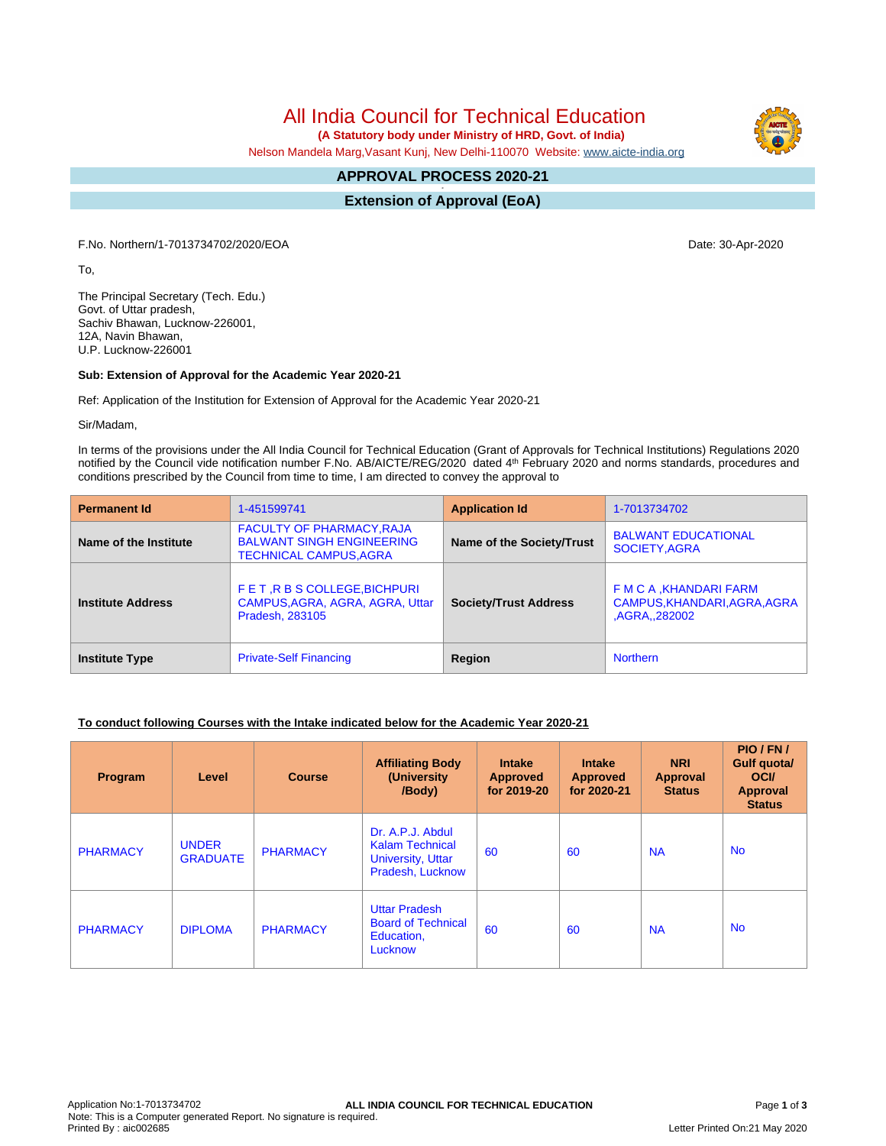# All India Council for Technical Education

 **(A Statutory body under Ministry of HRD, Govt. of India)**

Nelson Mandela Marg,Vasant Kunj, New Delhi-110070 Website: [www.aicte-india.org](http://www.aicte-india.org)

#### **APPROVAL PROCESS 2020-21 -**

**Extension of Approval (EoA)**

F.No. Northern/1-7013734702/2020/EOA Date: 30-Apr-2020

To,

The Principal Secretary (Tech. Edu.) Govt. of Uttar pradesh, Sachiv Bhawan, Lucknow-226001, 12A, Navin Bhawan, U.P. Lucknow-226001

### **Sub: Extension of Approval for the Academic Year 2020-21**

Ref: Application of the Institution for Extension of Approval for the Academic Year 2020-21

Sir/Madam,

In terms of the provisions under the All India Council for Technical Education (Grant of Approvals for Technical Institutions) Regulations 2020 notified by the Council vide notification number F.No. AB/AICTE/REG/2020 dated 4<sup>th</sup> February 2020 and norms standards, procedures and conditions prescribed by the Council from time to time, I am directed to convey the approval to

| <b>Permanent Id</b>      | 1-451599741                                                                                           | <b>Application Id</b>        | 1-7013734702                                                            |  |
|--------------------------|-------------------------------------------------------------------------------------------------------|------------------------------|-------------------------------------------------------------------------|--|
| Name of the Institute    | <b>FACULTY OF PHARMACY, RAJA</b><br><b>BALWANT SINGH ENGINEERING</b><br><b>TECHNICAL CAMPUS, AGRA</b> | Name of the Society/Trust    | <b>BALWANT EDUCATIONAL</b><br>SOCIETY, AGRA                             |  |
| <b>Institute Address</b> | FET, R B S COLLEGE, BICHPURI<br>CAMPUS, AGRA, AGRA, AGRA, Uttar<br><b>Pradesh, 283105</b>             | <b>Society/Trust Address</b> | F M C A , KHANDARI FARM<br>CAMPUS, KHANDARI, AGRA, AGRA<br>AGRA, 282002 |  |
| <b>Institute Type</b>    | <b>Private-Self Financing</b>                                                                         | Region                       | <b>Northern</b>                                                         |  |

### **To conduct following Courses with the Intake indicated below for the Academic Year 2020-21**

| Program         | Level                           | <b>Course</b>   | <b>Affiliating Body</b><br>(University<br>/Body)                                           | <b>Intake</b><br><b>Approved</b><br>for 2019-20 | <b>Intake</b><br><b>Approved</b><br>for 2020-21 | <b>NRI</b><br><b>Approval</b><br><b>Status</b> | PIO/FN/<br>Gulf quota/<br><b>OCI</b><br>Approval<br><b>Status</b> |
|-----------------|---------------------------------|-----------------|--------------------------------------------------------------------------------------------|-------------------------------------------------|-------------------------------------------------|------------------------------------------------|-------------------------------------------------------------------|
| <b>PHARMACY</b> | <b>UNDER</b><br><b>GRADUATE</b> | <b>PHARMACY</b> | Dr. A.P.J. Abdul<br><b>Kalam Technical</b><br><b>University, Uttar</b><br>Pradesh, Lucknow | 60                                              | 60                                              | <b>NA</b>                                      | No.                                                               |
| <b>PHARMACY</b> | <b>DIPLOMA</b>                  | <b>PHARMACY</b> | <b>Uttar Pradesh</b><br><b>Board of Technical</b><br>Education,<br>Lucknow                 | 60                                              | 60                                              | <b>NA</b>                                      | <b>No</b>                                                         |

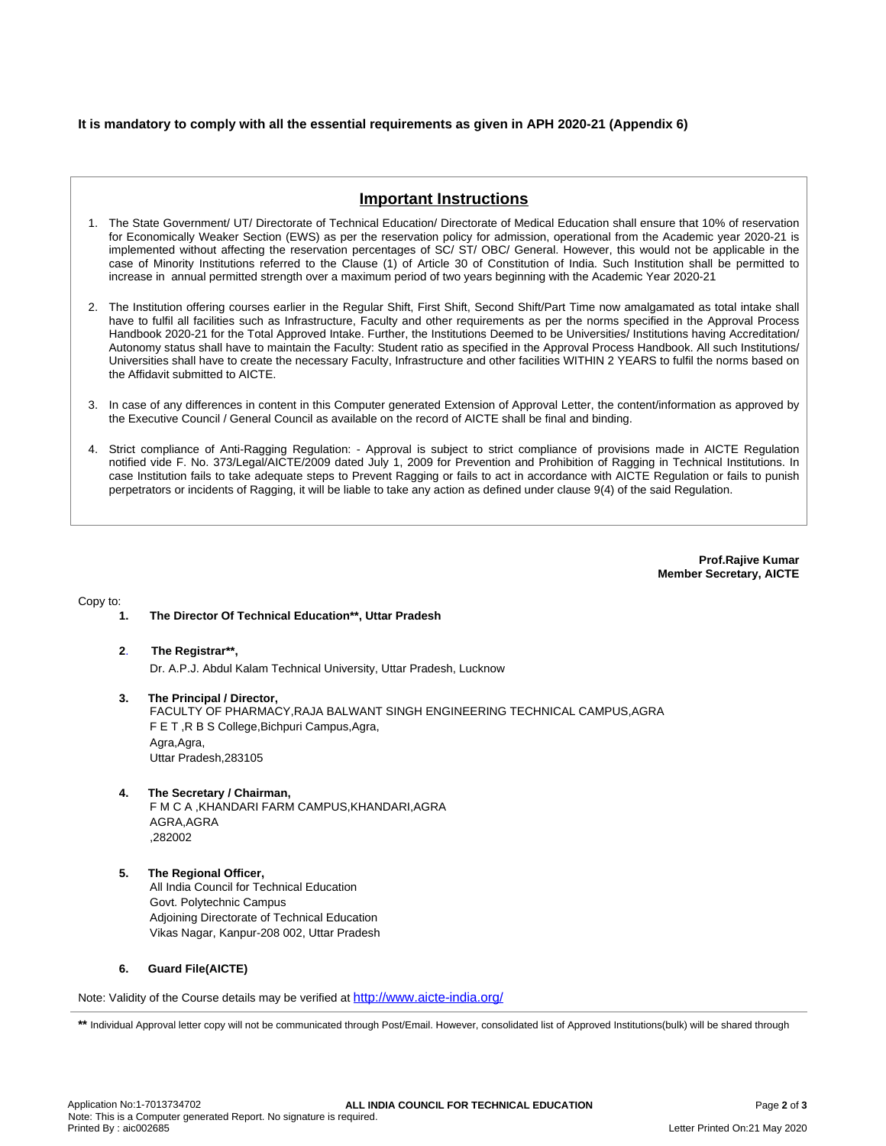### **It is mandatory to comply with all the essential requirements as given in APH 2020-21 (Appendix 6)**

## **Important Instructions**

- 1. The State Government/ UT/ Directorate of Technical Education/ Directorate of Medical Education shall ensure that 10% of reservation for Economically Weaker Section (EWS) as per the reservation policy for admission, operational from the Academic year 2020-21 is implemented without affecting the reservation percentages of SC/ ST/ OBC/ General. However, this would not be applicable in the case of Minority Institutions referred to the Clause (1) of Article 30 of Constitution of India. Such Institution shall be permitted to increase in annual permitted strength over a maximum period of two years beginning with the Academic Year 2020-21
- 2. The Institution offering courses earlier in the Regular Shift, First Shift, Second Shift/Part Time now amalgamated as total intake shall have to fulfil all facilities such as Infrastructure, Faculty and other requirements as per the norms specified in the Approval Process Handbook 2020-21 for the Total Approved Intake. Further, the Institutions Deemed to be Universities/ Institutions having Accreditation/ Autonomy status shall have to maintain the Faculty: Student ratio as specified in the Approval Process Handbook. All such Institutions/ Universities shall have to create the necessary Faculty, Infrastructure and other facilities WITHIN 2 YEARS to fulfil the norms based on the Affidavit submitted to AICTE.
- 3. In case of any differences in content in this Computer generated Extension of Approval Letter, the content/information as approved by the Executive Council / General Council as available on the record of AICTE shall be final and binding.
- 4. Strict compliance of Anti-Ragging Regulation: Approval is subject to strict compliance of provisions made in AICTE Regulation notified vide F. No. 373/Legal/AICTE/2009 dated July 1, 2009 for Prevention and Prohibition of Ragging in Technical Institutions. In case Institution fails to take adequate steps to Prevent Ragging or fails to act in accordance with AICTE Regulation or fails to punish perpetrators or incidents of Ragging, it will be liable to take any action as defined under clause 9(4) of the said Regulation.

**Prof.Rajive Kumar Member Secretary, AICTE**

Copy to:

- **1. The Director Of Technical Education\*\*, Uttar Pradesh**
- **2**. **The Registrar\*\*,** Dr. A.P.J. Abdul Kalam Technical University, Uttar Pradesh, Lucknow
- **3. The Principal / Director,** FACULTY OF PHARMACY,RAJA BALWANT SINGH ENGINEERING TECHNICAL CAMPUS,AGRA F E T ,R B S College,Bichpuri Campus,Agra, Agra,Agra, Uttar Pradesh,283105
- **4. The Secretary / Chairman,**

F M C A ,KHANDARI FARM CAMPUS,KHANDARI,AGRA AGRA,AGRA ,282002

**5. The Regional Officer,** All India Council for Technical Education Govt. Polytechnic Campus Adjoining Directorate of Technical Education Vikas Nagar, Kanpur-208 002, Uttar Pradesh

#### **6. Guard File(AICTE)**

Note: Validity of the Course details may be verified at <http://www.aicte-india.org/>

\*\* Individual Approval letter copy will not be communicated through Post/Email. However, consolidated list of Approved Institutions(bulk) will be shared through